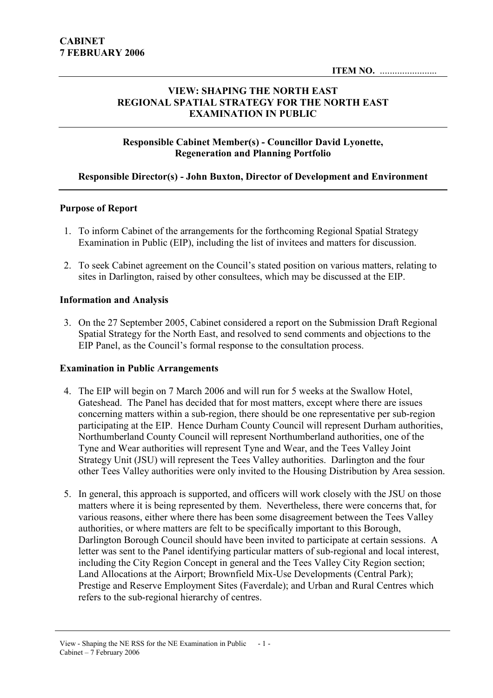# VIEW: SHAPING THE NORTH EAST REGIONAL SPATIAL STRATEGY FOR THE NORTH EAST EXAMINATION IN PUBLIC

### Responsible Cabinet Member(s) - Councillor David Lyonette, Regeneration and Planning Portfolio

# Responsible Director(s) - John Buxton, Director of Development and Environment

### Purpose of Report

- 1. To inform Cabinet of the arrangements for the forthcoming Regional Spatial Strategy Examination in Public (EIP), including the list of invitees and matters for discussion.
- 2. To seek Cabinet agreement on the Council's stated position on various matters, relating to sites in Darlington, raised by other consultees, which may be discussed at the EIP.

### Information and Analysis

3. On the 27 September 2005, Cabinet considered a report on the Submission Draft Regional Spatial Strategy for the North East, and resolved to send comments and objections to the EIP Panel, as the Council's formal response to the consultation process.

### Examination in Public Arrangements

- 4. The EIP will begin on 7 March 2006 and will run for 5 weeks at the Swallow Hotel, Gateshead. The Panel has decided that for most matters, except where there are issues concerning matters within a sub-region, there should be one representative per sub-region participating at the EIP. Hence Durham County Council will represent Durham authorities, Northumberland County Council will represent Northumberland authorities, one of the Tyne and Wear authorities will represent Tyne and Wear, and the Tees Valley Joint Strategy Unit (JSU) will represent the Tees Valley authorities. Darlington and the four other Tees Valley authorities were only invited to the Housing Distribution by Area session.
- 5. In general, this approach is supported, and officers will work closely with the JSU on those matters where it is being represented by them. Nevertheless, there were concerns that, for various reasons, either where there has been some disagreement between the Tees Valley authorities, or where matters are felt to be specifically important to this Borough, Darlington Borough Council should have been invited to participate at certain sessions. A letter was sent to the Panel identifying particular matters of sub-regional and local interest, including the City Region Concept in general and the Tees Valley City Region section; Land Allocations at the Airport; Brownfield Mix-Use Developments (Central Park); Prestige and Reserve Employment Sites (Faverdale); and Urban and Rural Centres which refers to the sub-regional hierarchy of centres.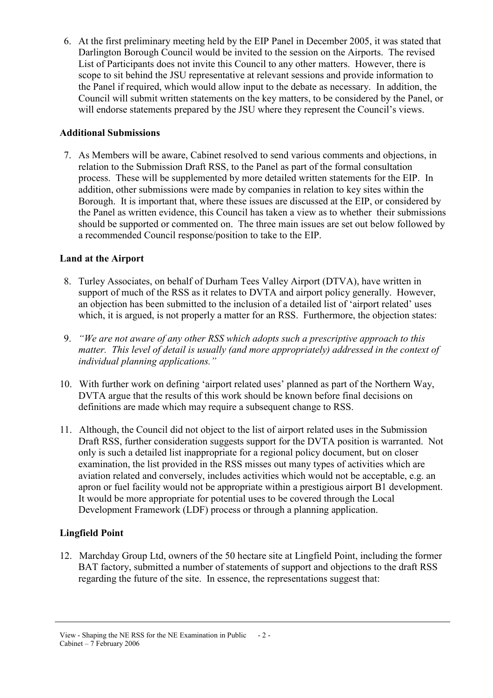6. At the first preliminary meeting held by the EIP Panel in December 2005, it was stated that Darlington Borough Council would be invited to the session on the Airports. The revised List of Participants does not invite this Council to any other matters. However, there is scope to sit behind the JSU representative at relevant sessions and provide information to the Panel if required, which would allow input to the debate as necessary. In addition, the Council will submit written statements on the key matters, to be considered by the Panel, or will endorse statements prepared by the JSU where they represent the Council's views.

# Additional Submissions

7. As Members will be aware, Cabinet resolved to send various comments and objections, in relation to the Submission Draft RSS, to the Panel as part of the formal consultation process. These will be supplemented by more detailed written statements for the EIP. In addition, other submissions were made by companies in relation to key sites within the Borough. It is important that, where these issues are discussed at the EIP, or considered by the Panel as written evidence, this Council has taken a view as to whether their submissions should be supported or commented on. The three main issues are set out below followed by a recommended Council response/position to take to the EIP.

# Land at the Airport

- 8. Turley Associates, on behalf of Durham Tees Valley Airport (DTVA), have written in support of much of the RSS as it relates to DVTA and airport policy generally. However, an objection has been submitted to the inclusion of a detailed list of 'airport related' uses which, it is argued, is not properly a matter for an RSS. Furthermore, the objection states:
- 9. "We are not aware of any other RSS which adopts such a prescriptive approach to this matter. This level of detail is usually (and more appropriately) addressed in the context of individual planning applications."
- 10. With further work on defining 'airport related uses' planned as part of the Northern Way, DVTA argue that the results of this work should be known before final decisions on definitions are made which may require a subsequent change to RSS.
- 11. Although, the Council did not object to the list of airport related uses in the Submission Draft RSS, further consideration suggests support for the DVTA position is warranted. Not only is such a detailed list inappropriate for a regional policy document, but on closer examination, the list provided in the RSS misses out many types of activities which are aviation related and conversely, includes activities which would not be acceptable, e.g. an apron or fuel facility would not be appropriate within a prestigious airport B1 development. It would be more appropriate for potential uses to be covered through the Local Development Framework (LDF) process or through a planning application.

# Lingfield Point

12. Marchday Group Ltd, owners of the 50 hectare site at Lingfield Point, including the former BAT factory, submitted a number of statements of support and objections to the draft RSS regarding the future of the site. In essence, the representations suggest that:

View - Shaping the NE RSS for the NE Examination in Public - 2 - Cabinet – 7 February 2006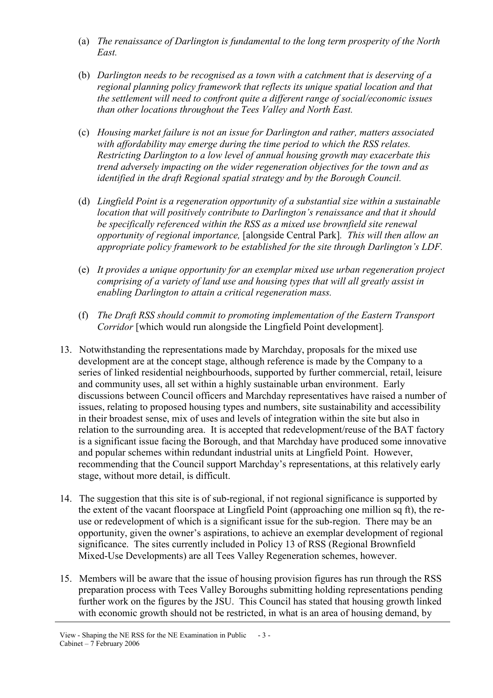- (a) The renaissance of Darlington is fundamental to the long term prosperity of the North East.
- (b) Darlington needs to be recognised as a town with a catchment that is deserving of a regional planning policy framework that reflects its unique spatial location and that the settlement will need to confront quite a different range of social/economic issues than other locations throughout the Tees Valley and North East.
- (c) Housing market failure is not an issue for Darlington and rather, matters associated with affordability may emerge during the time period to which the RSS relates. Restricting Darlington to a low level of annual housing growth may exacerbate this trend adversely impacting on the wider regeneration objectives for the town and as identified in the draft Regional spatial strategy and by the Borough Council.
- (d) Lingfield Point is a regeneration opportunity of a substantial size within a sustainable location that will positively contribute to Darlington's renaissance and that it should be specifically referenced within the RSS as a mixed use brownfield site renewal opportunity of regional importance, [alongside Central Park]. This will then allow an appropriate policy framework to be established for the site through Darlington's LDF.
- (e) It provides a unique opportunity for an exemplar mixed use urban regeneration project comprising of a variety of land use and housing types that will all greatly assist in enabling Darlington to attain a critical regeneration mass.
- (f) The Draft RSS should commit to promoting implementation of the Eastern Transport Corridor [which would run alongside the Lingfield Point development].
- 13. Notwithstanding the representations made by Marchday, proposals for the mixed use development are at the concept stage, although reference is made by the Company to a series of linked residential neighbourhoods, supported by further commercial, retail, leisure and community uses, all set within a highly sustainable urban environment. Early discussions between Council officers and Marchday representatives have raised a number of issues, relating to proposed housing types and numbers, site sustainability and accessibility in their broadest sense, mix of uses and levels of integration within the site but also in relation to the surrounding area. It is accepted that redevelopment/reuse of the BAT factory is a significant issue facing the Borough, and that Marchday have produced some innovative and popular schemes within redundant industrial units at Lingfield Point. However, recommending that the Council support Marchday's representations, at this relatively early stage, without more detail, is difficult.
- 14. The suggestion that this site is of sub-regional, if not regional significance is supported by the extent of the vacant floorspace at Lingfield Point (approaching one million sq ft), the reuse or redevelopment of which is a significant issue for the sub-region. There may be an opportunity, given the owner's aspirations, to achieve an exemplar development of regional significance. The sites currently included in Policy 13 of RSS (Regional Brownfield Mixed-Use Developments) are all Tees Valley Regeneration schemes, however.
- 15. Members will be aware that the issue of housing provision figures has run through the RSS preparation process with Tees Valley Boroughs submitting holding representations pending further work on the figures by the JSU. This Council has stated that housing growth linked with economic growth should not be restricted, in what is an area of housing demand, by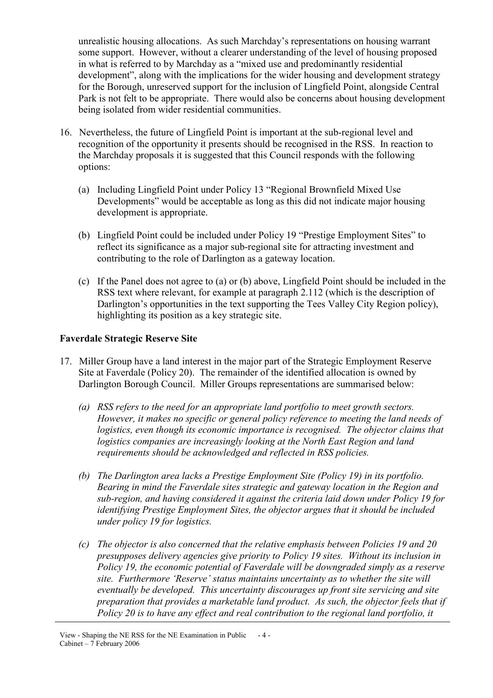unrealistic housing allocations. As such Marchday's representations on housing warrant some support. However, without a clearer understanding of the level of housing proposed in what is referred to by Marchday as a "mixed use and predominantly residential development", along with the implications for the wider housing and development strategy for the Borough, unreserved support for the inclusion of Lingfield Point, alongside Central Park is not felt to be appropriate. There would also be concerns about housing development being isolated from wider residential communities.

- 16. Nevertheless, the future of Lingfield Point is important at the sub-regional level and recognition of the opportunity it presents should be recognised in the RSS. In reaction to the Marchday proposals it is suggested that this Council responds with the following options:
	- (a) Including Lingfield Point under Policy 13 "Regional Brownfield Mixed Use Developments" would be acceptable as long as this did not indicate major housing development is appropriate.
	- (b) Lingfield Point could be included under Policy 19 "Prestige Employment Sites" to reflect its significance as a major sub-regional site for attracting investment and contributing to the role of Darlington as a gateway location.
	- (c) If the Panel does not agree to (a) or (b) above, Lingfield Point should be included in the RSS text where relevant, for example at paragraph 2.112 (which is the description of Darlington's opportunities in the text supporting the Tees Valley City Region policy), highlighting its position as a key strategic site.

## Faverdale Strategic Reserve Site

- 17. Miller Group have a land interest in the major part of the Strategic Employment Reserve Site at Faverdale (Policy 20). The remainder of the identified allocation is owned by Darlington Borough Council. Miller Groups representations are summarised below:
	- (a) RSS refers to the need for an appropriate land portfolio to meet growth sectors. However, it makes no specific or general policy reference to meeting the land needs of logistics, even though its economic importance is recognised. The objector claims that logistics companies are increasingly looking at the North East Region and land requirements should be acknowledged and reflected in RSS policies.
	- (b) The Darlington area lacks a Prestige Employment Site (Policy 19) in its portfolio. Bearing in mind the Faverdale sites strategic and gateway location in the Region and sub-region, and having considered it against the criteria laid down under Policy 19 for identifying Prestige Employment Sites, the objector argues that it should be included under policy 19 for logistics.
	- (c) The objector is also concerned that the relative emphasis between Policies 19 and 20 presupposes delivery agencies give priority to Policy 19 sites. Without its inclusion in Policy 19, the economic potential of Faverdale will be downgraded simply as a reserve site. Furthermore 'Reserve' status maintains uncertainty as to whether the site will eventually be developed. This uncertainty discourages up front site servicing and site preparation that provides a marketable land product. As such, the objector feels that if Policy 20 is to have any effect and real contribution to the regional land portfolio, it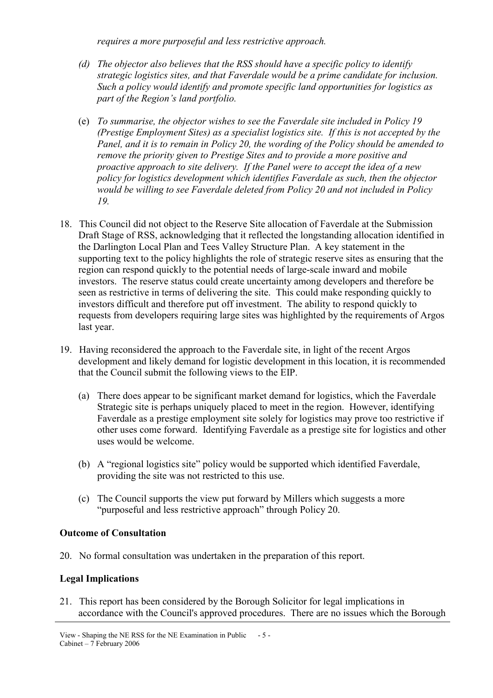requires a more purposeful and less restrictive approach.

- (d) The objector also believes that the RSS should have a specific policy to identify strategic logistics sites, and that Faverdale would be a prime candidate for inclusion. Such a policy would identify and promote specific land opportunities for logistics as part of the Region's land portfolio.
- (e) To summarise, the objector wishes to see the Faverdale site included in Policy 19 (Prestige Employment Sites) as a specialist logistics site. If this is not accepted by the Panel, and it is to remain in Policy 20, the wording of the Policy should be amended to remove the priority given to Prestige Sites and to provide a more positive and proactive approach to site delivery. If the Panel were to accept the idea of a new policy for logistics development which identifies Faverdale as such, then the objector would be willing to see Faverdale deleted from Policy 20 and not included in Policy 19.
- 18. This Council did not object to the Reserve Site allocation of Faverdale at the Submission Draft Stage of RSS, acknowledging that it reflected the longstanding allocation identified in the Darlington Local Plan and Tees Valley Structure Plan. A key statement in the supporting text to the policy highlights the role of strategic reserve sites as ensuring that the region can respond quickly to the potential needs of large-scale inward and mobile investors. The reserve status could create uncertainty among developers and therefore be seen as restrictive in terms of delivering the site. This could make responding quickly to investors difficult and therefore put off investment. The ability to respond quickly to requests from developers requiring large sites was highlighted by the requirements of Argos last year.
- 19. Having reconsidered the approach to the Faverdale site, in light of the recent Argos development and likely demand for logistic development in this location, it is recommended that the Council submit the following views to the EIP.
	- (a) There does appear to be significant market demand for logistics, which the Faverdale Strategic site is perhaps uniquely placed to meet in the region. However, identifying Faverdale as a prestige employment site solely for logistics may prove too restrictive if other uses come forward. Identifying Faverdale as a prestige site for logistics and other uses would be welcome.
	- (b) A "regional logistics site" policy would be supported which identified Faverdale, providing the site was not restricted to this use.
	- (c) The Council supports the view put forward by Millers which suggests a more "purposeful and less restrictive approach" through Policy 20.

# Outcome of Consultation

20. No formal consultation was undertaken in the preparation of this report.

# Legal Implications

21. This report has been considered by the Borough Solicitor for legal implications in accordance with the Council's approved procedures. There are no issues which the Borough